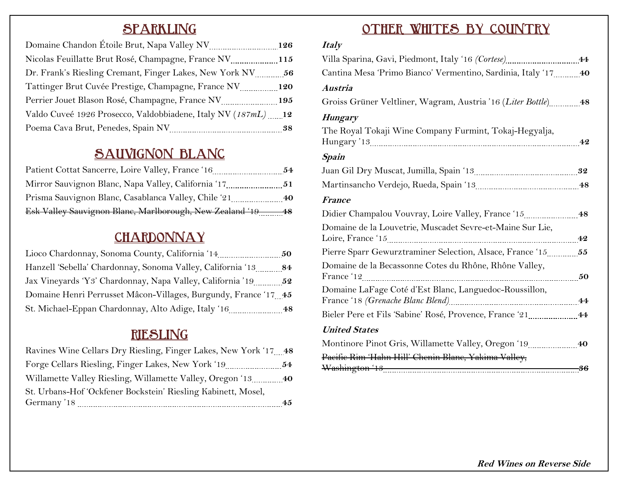# **SPARKLING**

|                                                               | 126 |
|---------------------------------------------------------------|-----|
| Nicolas Feuillatte Brut Rosé, Champagne, France NV 115        |     |
|                                                               |     |
|                                                               |     |
| Perrier Jouet Blason Rosé, Champagne, France NV               | 195 |
| Valdo Cuveé 1926 Prosecco, Valdobbiadene, Italy NV (187mL) 12 |     |
|                                                               | 38  |

# **SAUVIGNON BLANC**

| Patient Cottat Sancerre, Loire Valley, France '16        | 54 |
|----------------------------------------------------------|----|
| Mirror Sauvignon Blanc, Napa Valley, California '17      | 51 |
| Prisma Sauvignon Blanc, Casablanca Valley, Chile '21     | 40 |
| Esk Valley Sauvignon Blane, Marlborough, New Zealand '19 |    |

### **CHARDONNAY**

| Lioco Chardonnay, Sonoma County, California '14.                | 50 |
|-----------------------------------------------------------------|----|
| Hanzell 'Sebella' Chardonnay, Sonoma Valley, California '13     | 84 |
|                                                                 |    |
| Domaine Henri Perrusset Mâcon-Villages, Burgundy, France '17 45 |    |
| St. Michael-Eppan Chardonnay, Alto Adige, Italy '16             | 48 |

### **RIESLING**

| Ravines Wine Cellars Dry Riesling, Finger Lakes, New York '17 48 |    |
|------------------------------------------------------------------|----|
|                                                                  | 54 |
| Willamette Valley Riesling, Willamette Valley, Oregon '13        | 40 |
| St. Urbans-Hof 'Ockfener Bockstein' Riesling Kabinett, Mosel,    |    |
| Germany '18                                                      | 45 |

### **OTHER WHITES BY COUNTRY**

#### **Italy**

| Cantina Mesa 'Primo Bianco' Vermentino, Sardinia, Italy '17  40      |  |
|----------------------------------------------------------------------|--|
| Austria                                                              |  |
| Groiss Grüner Veltliner, Wagram, Austria '16 (Liter Bottle) 48       |  |
| <b>Hungary</b>                                                       |  |
| The Royal Tokaji Wine Company Furmint, Tokaj-Hegyalja,               |  |
| <b>Spain</b>                                                         |  |
|                                                                      |  |
|                                                                      |  |
| <b>France</b>                                                        |  |
| Didier Champalou Vouvray, Loire Valley, France '15 48                |  |
| Domaine de la Louvetrie, Muscadet Sevre-et-Maine Sur Lie,            |  |
|                                                                      |  |
| Domaine de la Becassonne Cotes du Rhône, Rhône Valley,<br>France '12 |  |
| Domaine LaFage Coté d'Est Blanc, Languedoc-Roussillon,               |  |
| Bieler Pere et Fils 'Sabine' Rosé, Provence, France '21 [11] [144]   |  |
| <b>United States</b>                                                 |  |
| Montinore Pinot Gris, Willamette Valley, Oregon '19  40              |  |
| Pacific Rim 'Hahn Hill' Chenin Blane, Yakima Valley,                 |  |

**Red Wines on Reverse Side**